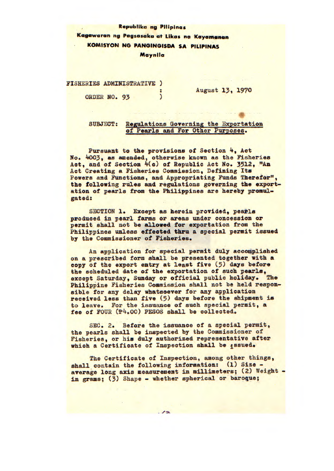**RpubIêka ng PIIIpnas** 

**Ka9awaran ng Pagsasoka at Likas no Koyamanon** 

**KOMISYON NG PANGINGISDA SA PIUPINAS** 

**Maynfla** 

FISHERIES ADMINISTRATIVE ) ORDER NO. 93  $\lambda$ 

August 13, 1970

## SUBJECT: Regulations Governing the Exportation of Pearls and For Other Purposes.

Pursuant to the **provisions of** Section *k,* **Act No,** +003, as amended, otherwise known as the Fisheries Act, and of Section 4(c) of Republic Act No. 3512, "An Act Creating a Fisheries Commission, Defining Its Powers and Functions, and Appropriating Funds Therefor", the following rules and regulations **governing the export**ation of pearls from the Philippines are hereby promulgated:

SECTION 1. Except as **herein** provided, pearls produced in pearl farms or areas under concession **or**  permit shall not be allowed for exportation from the Philippines unless effected thru a special permit issued by the Commissioner of Fisheries.

An application for special permit duly accomplished on a prescribed form shall be presented together with a copy of the export entry at least **five** *(5)* days before the scheduled date of the exportation of such pearls, except Saturday, Sunday or official public holiday. The Philippine Fisheries Commission shall not be held responsible for any delay whatsoever for any application **received** less than **five** *(5)* days before the shipment is to leave. For the issuance of such special permit, a fee of FOUR (P4.00) PESOS shall be collected.

SEC. 2. Before the issuance of a special permit, the pearls shall be inspected by the Commissioner of Fisheries, or his duly authorized **representative after**  which a Certificate of Inspection shall be **issued**.

The Certificate of Inspection, among other things, shall contain the following information: (1) **Size**  average long axis measurement in millimeters; (2) Weight **in** grams; *(3)* Shape - whether spherical or baroque;